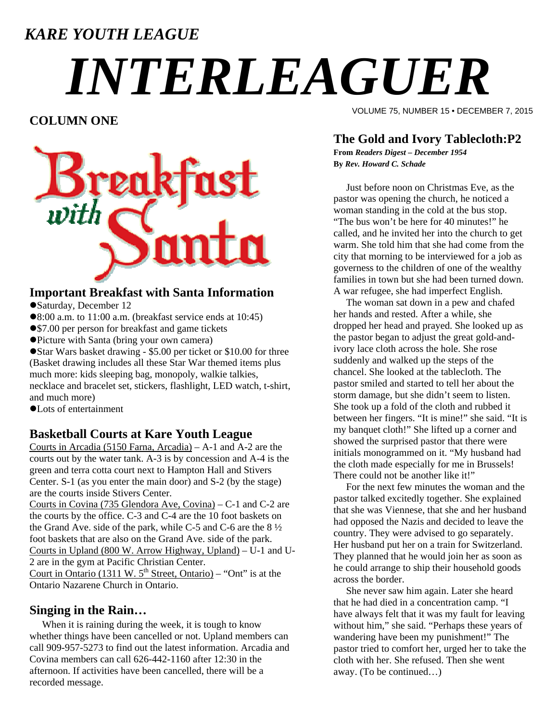### *KARE YOUTH LEAGUE*

# *INTERLEAGUER*

#### **COLUMN ONE**



#### **Important Breakfast with Santa Information**

Saturday, December 12

- 8:00 a.m. to 11:00 a.m. (breakfast service ends at 10:45)
- \$7.00 per person for breakfast and game tickets
- Picture with Santa (bring your own camera)

Star Wars basket drawing - \$5.00 per ticket or \$10.00 for three (Basket drawing includes all these Star War themed items plus much more: kids sleeping bag, monopoly, walkie talkies, necklace and bracelet set, stickers, flashlight, LED watch, t-shirt, and much more)

Lots of entertainment

#### **Basketball Courts at Kare Youth League**

Courts in Arcadia (5150 Farna, Arcadia) – A-1 and A-2 are the courts out by the water tank. A-3 is by concession and A-4 is the green and terra cotta court next to Hampton Hall and Stivers Center. S-1 (as you enter the main door) and S-2 (by the stage) are the courts inside Stivers Center.

Courts in Covina (735 Glendora Ave, Covina) – C-1 and C-2 are the courts by the office. C-3 and C-4 are the 10 foot baskets on the Grand Ave. side of the park, while C-5 and C-6 are the 8 ½ foot baskets that are also on the Grand Ave. side of the park. Courts in Upland (800 W. Arrow Highway, Upland) – U-1 and U-2 are in the gym at Pacific Christian Center. Court in Ontario (1311 W.  $5<sup>th</sup>$  Street, Ontario) – "Ont" is at the Ontario Nazarene Church in Ontario.

#### **Singing in the Rain…**

When it is raining during the week, it is tough to know whether things have been cancelled or not. Upland members can call 909-957-5273 to find out the latest information. Arcadia and Covina members can call 626-442-1160 after 12:30 in the afternoon. If activities have been cancelled, there will be a recorded message.

VOLUME 75, NUMBER 15 • DECEMBER 7, 2015

#### **The Gold and Ivory Tablecloth:P2**

**From** *Readers Digest – December 1954*  **By** *Rev. Howard C. Schade* 

 Just before noon on Christmas Eve, as the pastor was opening the church, he noticed a woman standing in the cold at the bus stop. "The bus won't be here for 40 minutes!" he called, and he invited her into the church to get warm. She told him that she had come from the city that morning to be interviewed for a job as governess to the children of one of the wealthy families in town but she had been turned down. A war refugee, she had imperfect English.

 The woman sat down in a pew and chafed her hands and rested. After a while, she dropped her head and prayed. She looked up as the pastor began to adjust the great gold-andivory lace cloth across the hole. She rose suddenly and walked up the steps of the chancel. She looked at the tablecloth. The pastor smiled and started to tell her about the storm damage, but she didn't seem to listen. She took up a fold of the cloth and rubbed it between her fingers. "It is mine!" she said. "It is my banquet cloth!" She lifted up a corner and showed the surprised pastor that there were initials monogrammed on it. "My husband had the cloth made especially for me in Brussels! There could not be another like it!"

 For the next few minutes the woman and the pastor talked excitedly together. She explained that she was Viennese, that she and her husband had opposed the Nazis and decided to leave the country. They were advised to go separately. Her husband put her on a train for Switzerland. They planned that he would join her as soon as he could arrange to ship their household goods across the border.

 She never saw him again. Later she heard that he had died in a concentration camp. "I have always felt that it was my fault for leaving without him," she said. "Perhaps these years of wandering have been my punishment!" The pastor tried to comfort her, urged her to take the cloth with her. She refused. Then she went away. (To be continued…)